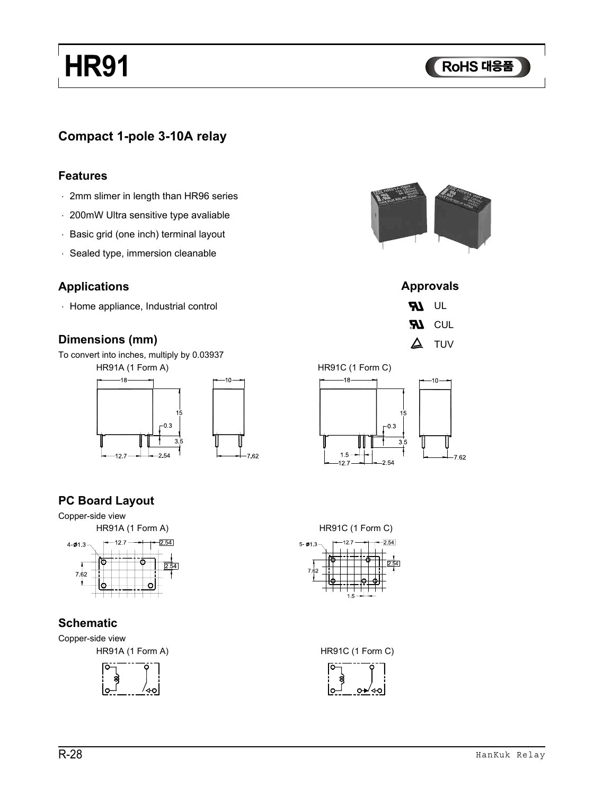# **HR HR91**

### **Compact 1-pole 3-10A relay**

#### **Features**

- · 2mm slimer in length than HR96 series
- · 200mW Ultra sensitive type avaliable
- · Basic grid (one inch) terminal layout
- · Sealed type, immersion cleanable

#### **Applications**

· Home appliance, Industrial control

#### **Dimensions (mm)**

To convert into inches, multiply by 0.03937

HR91A (1 Form A)







**RI** CUL  $\Delta$  TUV

HR91C (1 Form C)



### **PC Board Layout**



#### **Schematic**

Copper-side view





HR91A (1 Form A) HR91C (1 Form C)

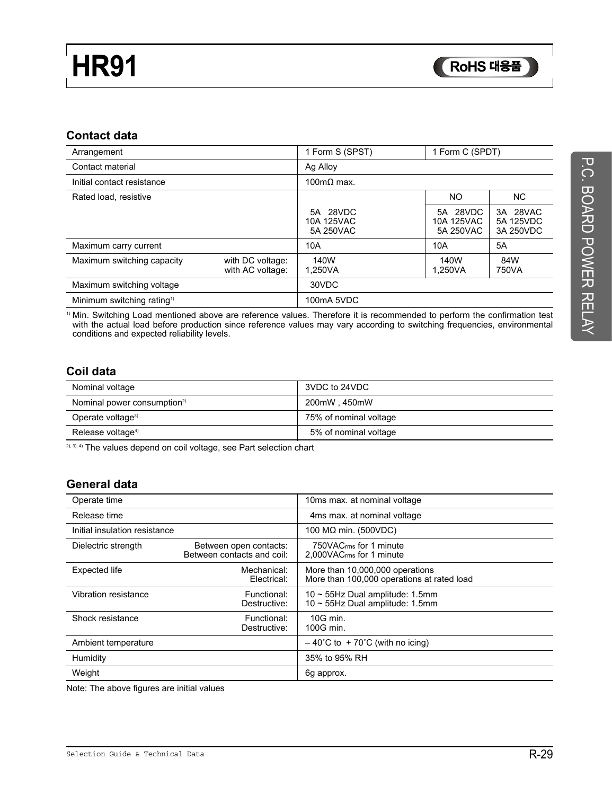#### **Contact data**

| Arrangement                            |                                      | 1 Form S (SPST)                     | 1 Form C (SPDT)                     |                                    |  |  |
|----------------------------------------|--------------------------------------|-------------------------------------|-------------------------------------|------------------------------------|--|--|
| Contact material                       |                                      | Ag Alloy                            |                                     |                                    |  |  |
| Initial contact resistance             |                                      | 100mΩ max.                          |                                     |                                    |  |  |
| Rated load, resistive                  |                                      |                                     | NO.                                 | NC.                                |  |  |
|                                        |                                      | 5A 28VDC<br>10A 125VAC<br>5A 250VAC | 5A 28VDC<br>10A 125VAC<br>5A 250VAC | 3A 28VAC<br>5A 125VDC<br>3A 250VDC |  |  |
| Maximum carry current                  |                                      | 10A                                 | 10A                                 | 5A                                 |  |  |
| Maximum switching capacity             | with DC voltage:<br>with AC voltage: | 140W<br>1.250VA                     | 140W<br>1.250VA                     | 84W<br>750VA                       |  |  |
| Maximum switching voltage              |                                      | 30VDC                               |                                     |                                    |  |  |
| Minimum switching rating <sup>1)</sup> |                                      | 100mA 5VDC                          |                                     |                                    |  |  |

1) Min. Switching Load mentioned above are reference values. Therefore it is recommended to perform the confirmation test with the actual load before production since reference values may vary according to switching frequencies, environmental conditions and expected reliability levels.

#### **Coil data**

| Nominal voltage                         | 3VDC to 24VDC          |
|-----------------------------------------|------------------------|
| Nominal power consumption <sup>2)</sup> | 200mW, 450mW           |
| Operate voltage <sup>3)</sup>           | 75% of nominal voltage |
| Release voltage <sup>4)</sup>           | 5% of nominal voltage  |

<sup>2), 3), 4)</sup> The values depend on coil voltage, see Part selection chart

#### **General data**

| Operate time                  |                                                      | 10ms max. at nominal voltage                                                  |
|-------------------------------|------------------------------------------------------|-------------------------------------------------------------------------------|
| Release time                  |                                                      | 4ms max. at nominal voltage                                                   |
| Initial insulation resistance |                                                      | 100 MΩ min. (500VDC)                                                          |
| Dielectric strength           | Between open contacts:<br>Between contacts and coil: | 750VAC <sub>rms</sub> for 1 minute<br>2,000VAC <sub>rms</sub> for 1 minute    |
| <b>Expected life</b>          | Mechanical:<br>Electrical:                           | More than 10,000,000 operations<br>More than 100,000 operations at rated load |
| Vibration resistance          | Functional:<br>Destructive:                          | $10 \sim 55$ Hz Dual amplitude: 1.5mm<br>10 ~ 55Hz Dual amplitude: 1.5mm      |
| Shock resistance              | Functional:<br>Destructive:                          | $10G$ min.<br>100G min.                                                       |
| Ambient temperature           |                                                      | $-40^{\circ}$ C to + 70 $^{\circ}$ C (with no icing)                          |
| Humidity                      |                                                      | 35% to 95% RH                                                                 |
| Weight                        |                                                      | 6g approx.                                                                    |

Note: The above figures are initial values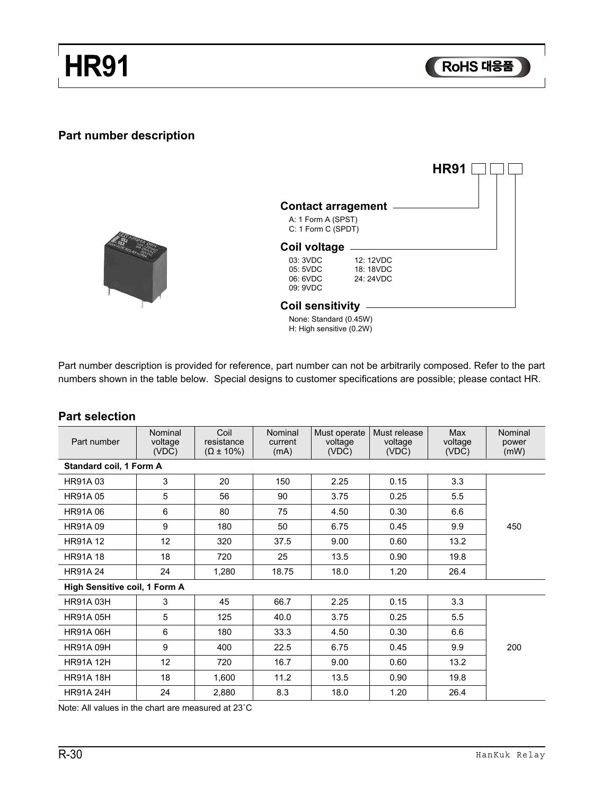## **HR HR91**

**RoHS** 대응품

### **Part number description**



|                                                                       |                                     | HR91 |  |  |  |  |
|-----------------------------------------------------------------------|-------------------------------------|------|--|--|--|--|
| <b>Contact arragement</b><br>A: 1 Form A (SPST)<br>C: 1 Form C (SPDT) |                                     |      |  |  |  |  |
| Coil voltage                                                          |                                     |      |  |  |  |  |
| 03: 3VDC<br>05:5VDC<br>06: 6VDC<br>09: 9VDC                           | 12: 12VDC<br>18: 18VDC<br>24: 24VDC |      |  |  |  |  |
| <b>Coil sensitivity</b><br>$M = 1$                                    |                                     |      |  |  |  |  |

None: Standard (0.45W) H: High sensitive (0.2W)

Part number description is provided for reference, part number can not be arbitrarily composed. Refer to the part numbers shown in the table below. Special designs to customer specifications are possible; please contact HR.

#### **Part selection**

| Part number                   | Nominal<br>voltage<br>(VDC) | Coil<br>resistance<br>$(\Omega \pm 10\%)$ | Nominal<br>current<br>(mA) | Must operate<br>voltage<br>(VDC) | Must release<br>voltage<br>(VDC) | Max<br>voltage<br>(VDC) | Nominal<br>power<br>(mW) |
|-------------------------------|-----------------------------|-------------------------------------------|----------------------------|----------------------------------|----------------------------------|-------------------------|--------------------------|
| Standard coil, 1 Form A       |                             |                                           |                            |                                  |                                  |                         |                          |
| <b>HR91A03</b>                | 3                           | 20                                        | 150                        | 2.25                             | 0.15                             | 3.3                     |                          |
| <b>HR91A05</b>                | 5                           | 56                                        | 90                         | 3.75                             | 0.25                             | 5.5                     |                          |
| <b>HR91A06</b>                | 6                           | 80                                        | 75                         | 4.50                             | 0.30                             | 6.6                     |                          |
| <b>HR91A09</b>                | 9                           | 180                                       | 50                         | 6.75                             | 0.45                             | 9.9                     | 450                      |
| <b>HR91A 12</b>               | 12                          | 320                                       | 37.5                       | 9.00                             | 0.60                             | 13.2                    |                          |
| <b>HR91A 18</b>               | 18                          | 720                                       | 25                         | 13.5                             | 0.90                             | 19.8                    |                          |
| <b>HR91A24</b>                | 24                          | 1,280                                     | 18.75                      | 18.0                             | 1.20                             | 26.4                    |                          |
| High Sensitive coil, 1 Form A |                             |                                           |                            |                                  |                                  |                         |                          |
| <b>HR91A 03H</b>              | 3                           | 45                                        | 66.7                       | 2.25                             | 0.15                             | 3.3                     |                          |
| <b>HR91A 05H</b>              | 5                           | 125                                       | 40.0                       | 3.75                             | 0.25                             | 5.5                     |                          |
| <b>HR91A 06H</b>              | 6                           | 180                                       | 33.3                       | 4.50                             | 0.30                             | 6.6                     |                          |
| <b>HR91A 09H</b>              | 9                           | 400                                       | 22.5                       | 6.75                             | 0.45                             | 9.9                     | 200                      |
| <b>HR91A 12H</b>              | 12                          | 720                                       | 16.7                       | 9.00                             | 0.60                             | 13.2                    |                          |
| <b>HR91A 18H</b>              | 18                          | 1,600                                     | 11.2                       | 13.5                             | 0.90                             | 19.8                    |                          |
| <b>HR91A 24H</b>              | 24                          | 2,880                                     | 8.3                        | 18.0                             | 1.20                             | 26.4                    |                          |

Note: All values in the chart are measured at 23˚C